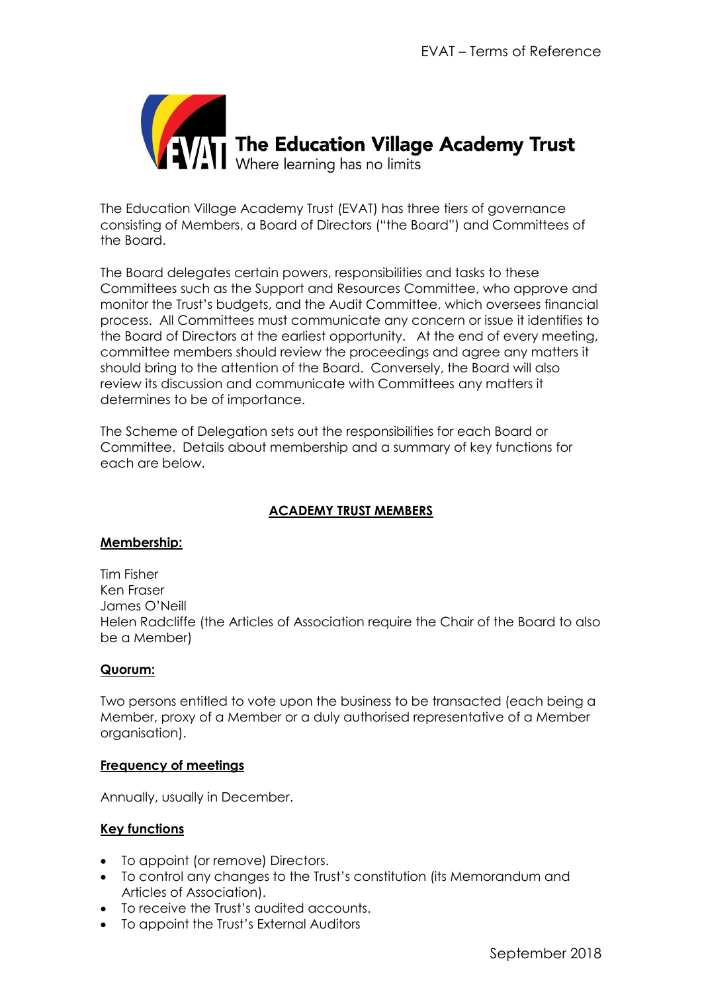

The Education Village Academy Trust (EVAT) has three tiers of governance consisting of Members, a Board of Directors ("the Board") and Committees of the Board.

The Board delegates certain powers, responsibilities and tasks to these Committees such as the Support and Resources Committee, who approve and monitor the Trust's budgets, and the Audit Committee, which oversees financial process. All Committees must communicate any concern or issue it identifies to the Board of Directors at the earliest opportunity. At the end of every meeting, committee members should review the proceedings and agree any matters it should bring to the attention of the Board. Conversely, the Board will also review its discussion and communicate with Committees any matters it determines to be of importance.

The Scheme of Delegation sets out the responsibilities for each Board or Committee. Details about membership and a summary of key functions for each are below.

# **ACADEMY TRUST MEMBERS**

# **Membership:**

Tim Fisher Ken Fraser James O'Neill Helen Radcliffe (the Articles of Association require the Chair of the Board to also be a Member)

### **Quorum:**

Two persons entitled to vote upon the business to be transacted (each being a Member, proxy of a Member or a duly authorised representative of a Member organisation).

### **Frequency of meetings**

Annually, usually in December.

# **Key functions**

- To appoint (or remove) Directors.
- To control any changes to the Trust's constitution (its Memorandum and Articles of Association).
- To receive the Trust's audited accounts.
- To appoint the Trust's External Auditors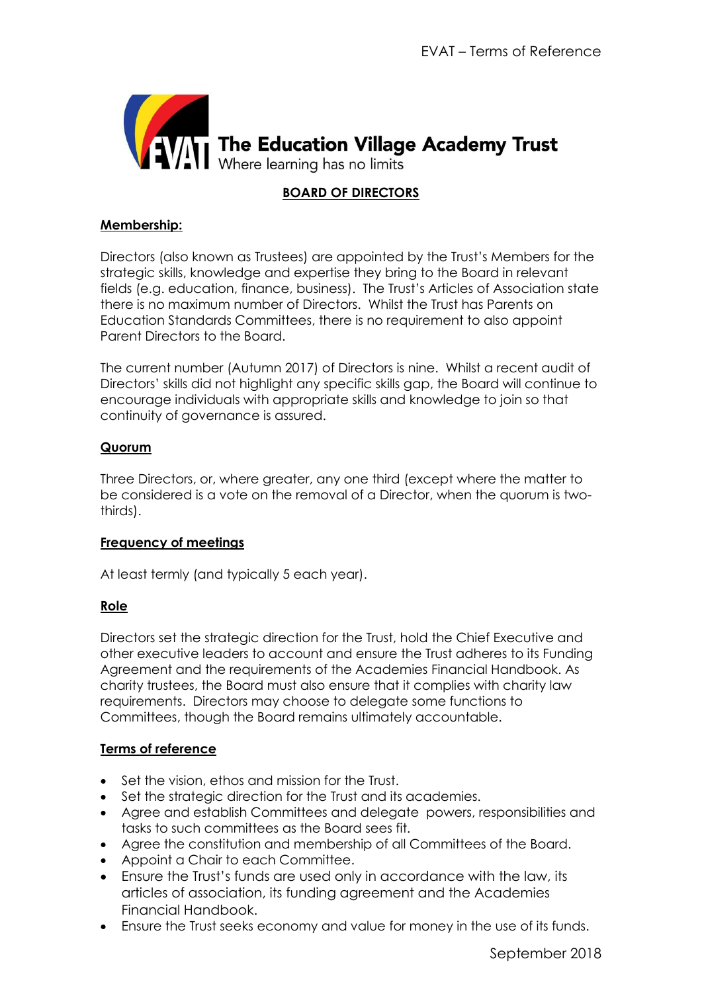

# **BOARD OF DIRECTORS**

# **Membership:**

Directors (also known as Trustees) are appointed by the Trust's Members for the strategic skills, knowledge and expertise they bring to the Board in relevant fields (e.g. education, finance, business). The Trust's Articles of Association state there is no maximum number of Directors. Whilst the Trust has Parents on Education Standards Committees, there is no requirement to also appoint Parent Directors to the Board.

The current number (Autumn 2017) of Directors is nine. Whilst a recent audit of Directors' skills did not highlight any specific skills gap, the Board will continue to encourage individuals with appropriate skills and knowledge to join so that continuity of governance is assured.

# **Quorum**

Three Directors, or, where greater, any one third (except where the matter to be considered is a vote on the removal of a Director, when the quorum is twothirds).

# **Frequency of meetings**

At least termly (and typically 5 each year).

# **Role**

Directors set the strategic direction for the Trust, hold the Chief Executive and other executive leaders to account and ensure the Trust adheres to its Funding Agreement and the requirements of the Academies Financial Handbook. As charity trustees, the Board must also ensure that it complies with charity law requirements. Directors may choose to delegate some functions to Committees, though the Board remains ultimately accountable.

# **Terms of reference**

- Set the vision, ethos and mission for the Trust.
- Set the strategic direction for the Trust and its academies.
- Agree and establish Committees and delegate powers, responsibilities and tasks to such committees as the Board sees fit.
- Agree the constitution and membership of all Committees of the Board.
- Appoint a Chair to each Committee.
- Ensure the Trust's funds are used only in accordance with the law, its articles of association, its funding agreement and the Academies Financial Handbook.
- Ensure the Trust seeks economy and value for money in the use of its funds.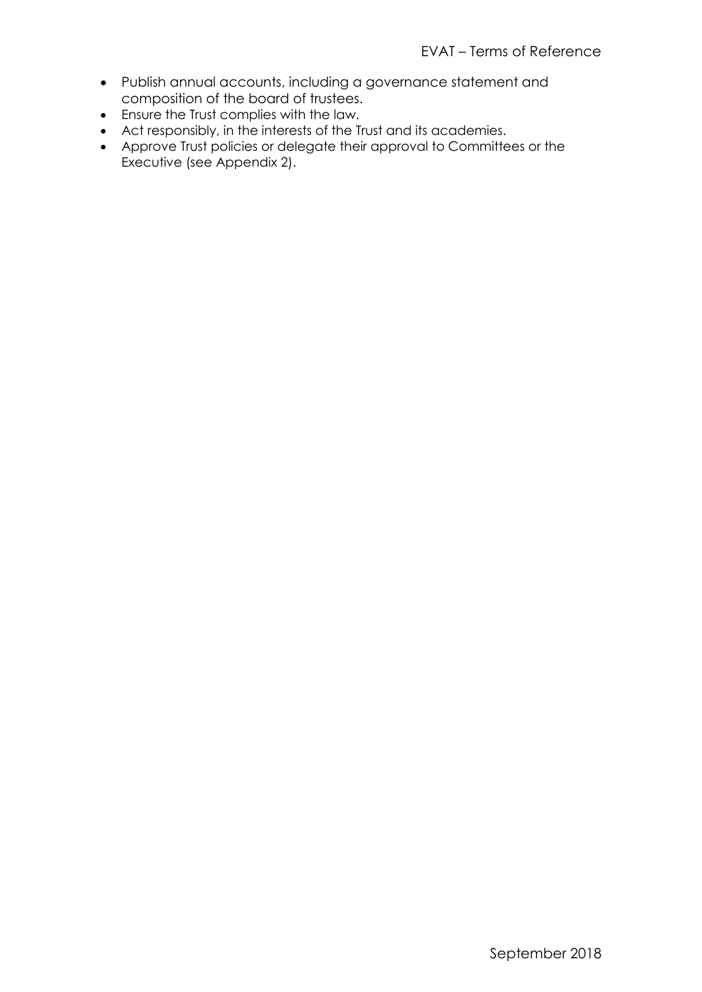- Publish annual accounts, including a governance statement and composition of the board of trustees.
- Ensure the Trust complies with the law.
- Act responsibly, in the interests of the Trust and its academies.
- Approve Trust policies or delegate their approval to Committees or the Executive (see Appendix 2).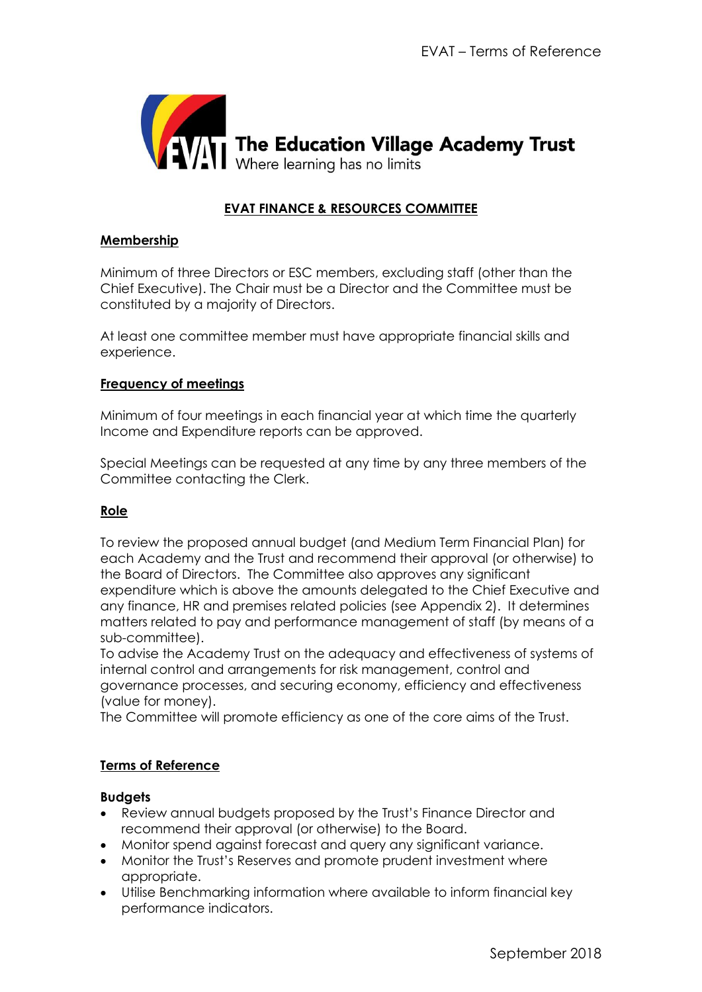

# **EVAT FINANCE & RESOURCES COMMITTEE**

### **Membership**

Minimum of three Directors or ESC members, excluding staff (other than the Chief Executive). The Chair must be a Director and the Committee must be constituted by a majority of Directors.

At least one committee member must have appropriate financial skills and experience.

### **Frequency of meetings**

Minimum of four meetings in each financial year at which time the quarterly Income and Expenditure reports can be approved.

Special Meetings can be requested at any time by any three members of the Committee contacting the Clerk.

# **Role**

To review the proposed annual budget (and Medium Term Financial Plan) for each Academy and the Trust and recommend their approval (or otherwise) to the Board of Directors. The Committee also approves any significant expenditure which is above the amounts delegated to the Chief Executive and any finance, HR and premises related policies (see Appendix 2). It determines matters related to pay and performance management of staff (by means of a sub-committee).

To advise the Academy Trust on the adequacy and effectiveness of systems of internal control and arrangements for risk management, control and governance processes, and securing economy, efficiency and effectiveness (value for money).

The Committee will promote efficiency as one of the core aims of the Trust.

# **Terms of Reference**

### **Budgets**

- Review annual budgets proposed by the Trust's Finance Director and recommend their approval (or otherwise) to the Board.
- Monitor spend against forecast and query any significant variance.
- Monitor the Trust's Reserves and promote prudent investment where appropriate.
- Utilise Benchmarking information where available to inform financial key performance indicators.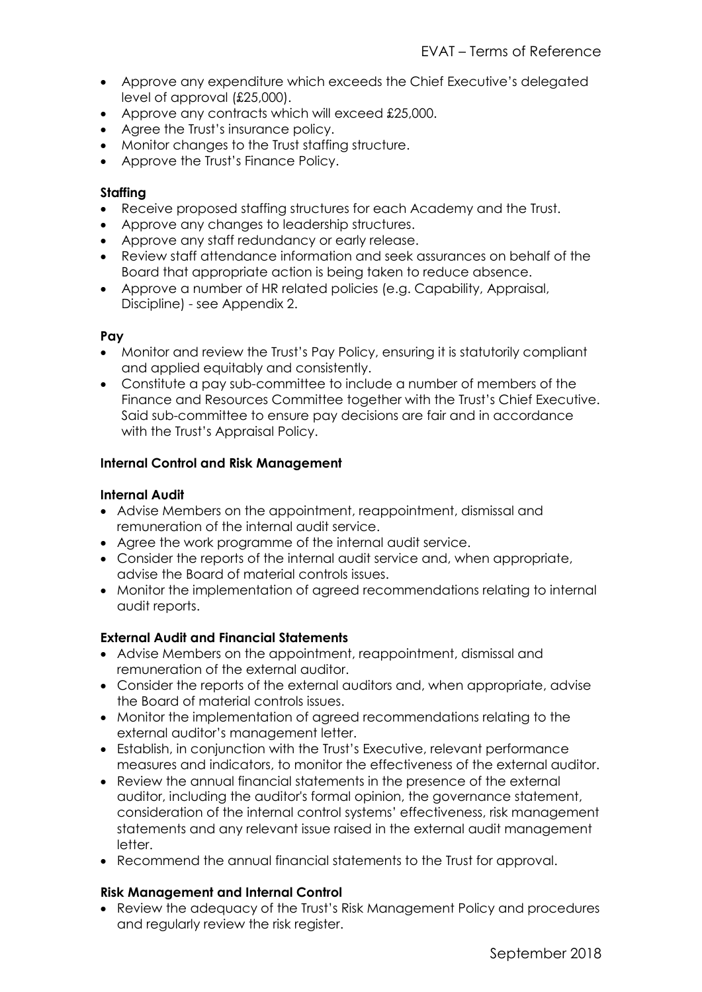- Approve any expenditure which exceeds the Chief Executive's delegated level of approval (£25,000).
- Approve any contracts which will exceed £25,000.
- Agree the Trust's insurance policy.
- Monitor changes to the Trust staffing structure.
- Approve the Trust's Finance Policy.

## **Staffing**

- Receive proposed staffing structures for each Academy and the Trust.
- Approve any changes to leadership structures.
- Approve any staff redundancy or early release.
- Review staff attendance information and seek assurances on behalf of the Board that appropriate action is being taken to reduce absence.
- Approve a number of HR related policies (e.g. Capability, Appraisal, Discipline) - see Appendix 2.

## **Pay**

- Monitor and review the Trust's Pay Policy, ensuring it is statutorily compliant and applied equitably and consistently.
- Constitute a pay sub-committee to include a number of members of the Finance and Resources Committee together with the Trust's Chief Executive. Said sub-committee to ensure pay decisions are fair and in accordance with the Trust's Appraisal Policy.

## **Internal Control and Risk Management**

### **Internal Audit**

- Advise Members on the appointment, reappointment, dismissal and remuneration of the internal audit service.
- Agree the work programme of the internal audit service.
- Consider the reports of the internal audit service and, when appropriate, advise the Board of material controls issues.
- Monitor the implementation of agreed recommendations relating to internal audit reports.

# **External Audit and Financial Statements**

- Advise Members on the appointment, reappointment, dismissal and remuneration of the external auditor.
- Consider the reports of the external auditors and, when appropriate, advise the Board of material controls issues.
- Monitor the implementation of agreed recommendations relating to the external auditor's management letter.
- Establish, in conjunction with the Trust's Executive, relevant performance measures and indicators, to monitor the effectiveness of the external auditor.
- Review the annual financial statements in the presence of the external auditor, including the auditor's formal opinion, the governance statement, consideration of the internal control systems' effectiveness, risk management statements and any relevant issue raised in the external audit management letter.
- Recommend the annual financial statements to the Trust for approval.

### **Risk Management and Internal Control**

 Review the adequacy of the Trust's Risk Management Policy and procedures and regularly review the risk register.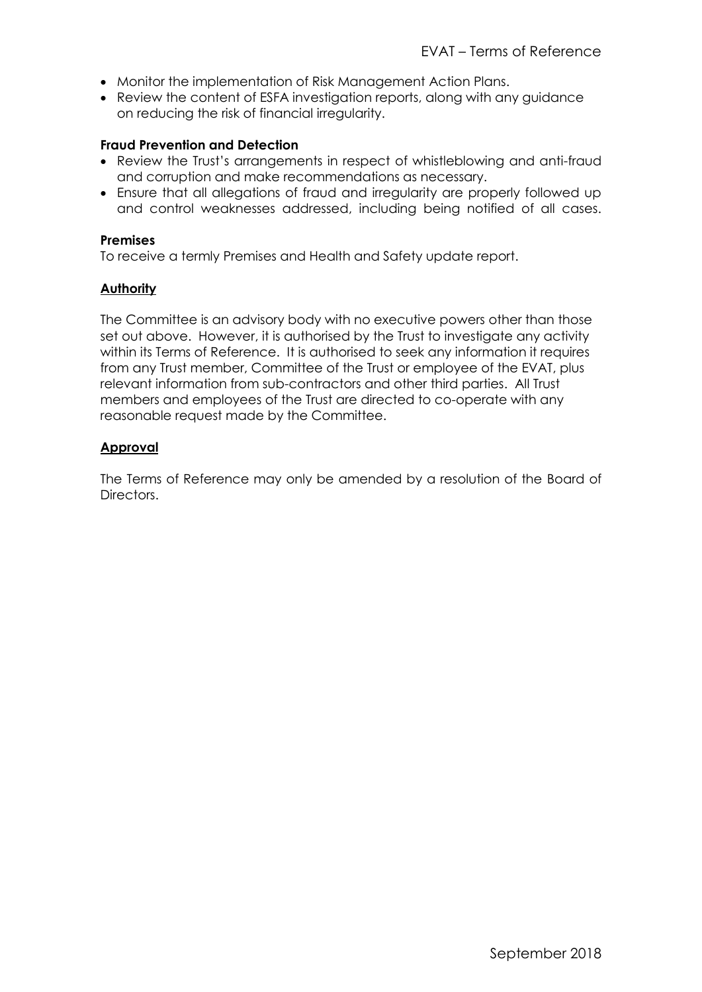- Monitor the implementation of Risk Management Action Plans.
- Review the content of ESFA investigation reports, along with any guidance on reducing the risk of financial irregularity.

### **Fraud Prevention and Detection**

- Review the Trust's arrangements in respect of whistleblowing and anti-fraud and corruption and make recommendations as necessary.
- Ensure that all allegations of fraud and irregularity are properly followed up and control weaknesses addressed, including being notified of all cases.

### **Premises**

To receive a termly Premises and Health and Safety update report.

# **Authority**

The Committee is an advisory body with no executive powers other than those set out above. However, it is authorised by the Trust to investigate any activity within its Terms of Reference. It is authorised to seek any information it requires from any Trust member, Committee of the Trust or employee of the EVAT, plus relevant information from sub-contractors and other third parties. All Trust members and employees of the Trust are directed to co-operate with any reasonable request made by the Committee.

# **Approval**

The Terms of Reference may only be amended by a resolution of the Board of Directors.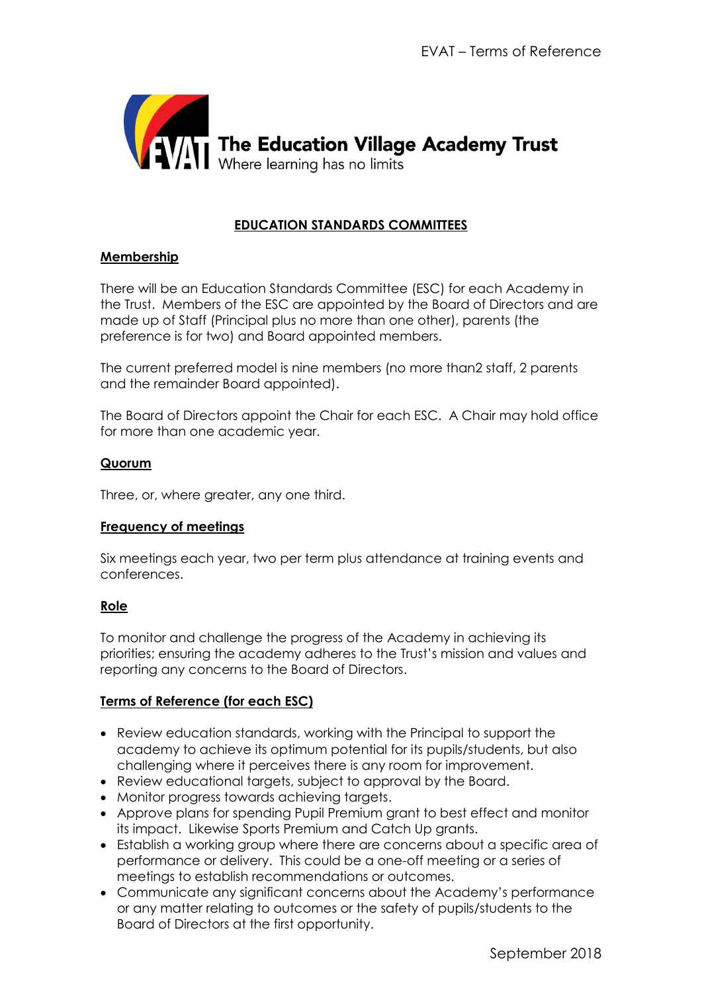

# **EDUCATION STANDARDS COMMITTEES**

# **Membership**

There will be an Education Standards Committee (ESC) for each Academy in the Trust. Members of the ESC are appointed by the Board of Directors and are made up of Staff (Principal plus no more than one other), parents (the preference is for two) and Board appointed members.

The current preferred model is nine members (no more than2 staff, 2 parents and the remainder Board appointed).

The Board of Directors appoint the Chair for each ESC. A Chair may hold office for more than one academic year.

## **Quorum**

Three, or, where greater, any one third.

# **Frequency of meetings**

Six meetings each year, two per term plus attendance at training events and conferences.

# **Role**

To monitor and challenge the progress of the Academy in achieving its priorities; ensuring the academy adheres to the Trust's mission and values and reporting any concerns to the Board of Directors.

### **Terms of Reference (for each ESC)**

- Review education standards, working with the Principal to support the academy to achieve its optimum potential for its pupils/students, but also challenging where it perceives there is any room for improvement.
- Review educational targets, subject to approval by the Board.
- Monitor progress towards achieving targets.
- Approve plans for spending Pupil Premium grant to best effect and monitor its impact. Likewise Sports Premium and Catch Up grants.
- Establish a working group where there are concerns about a specific area of performance or delivery. This could be a one-off meeting or a series of meetings to establish recommendations or outcomes.
- Communicate any significant concerns about the Academy's performance or any matter relating to outcomes or the safety of pupils/students to the Board of Directors at the first opportunity.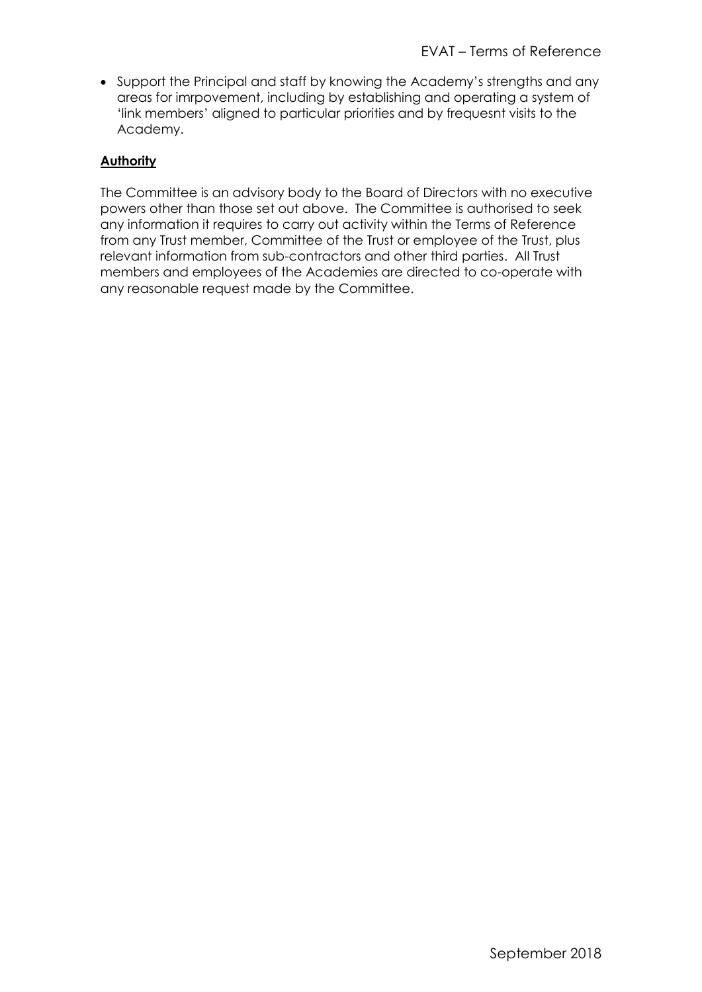• Support the Principal and staff by knowing the Academy's strengths and any areas for imrpovement, including by establishing and operating a system of 'link members' aligned to particular priorities and by frequesnt visits to the Academy.

## **Authority**

The Committee is an advisory body to the Board of Directors with no executive powers other than those set out above. The Committee is authorised to seek any information it requires to carry out activity within the Terms of Reference from any Trust member, Committee of the Trust or employee of the Trust, plus relevant information from sub-contractors and other third parties. All Trust members and employees of the Academies are directed to co-operate with any reasonable request made by the Committee.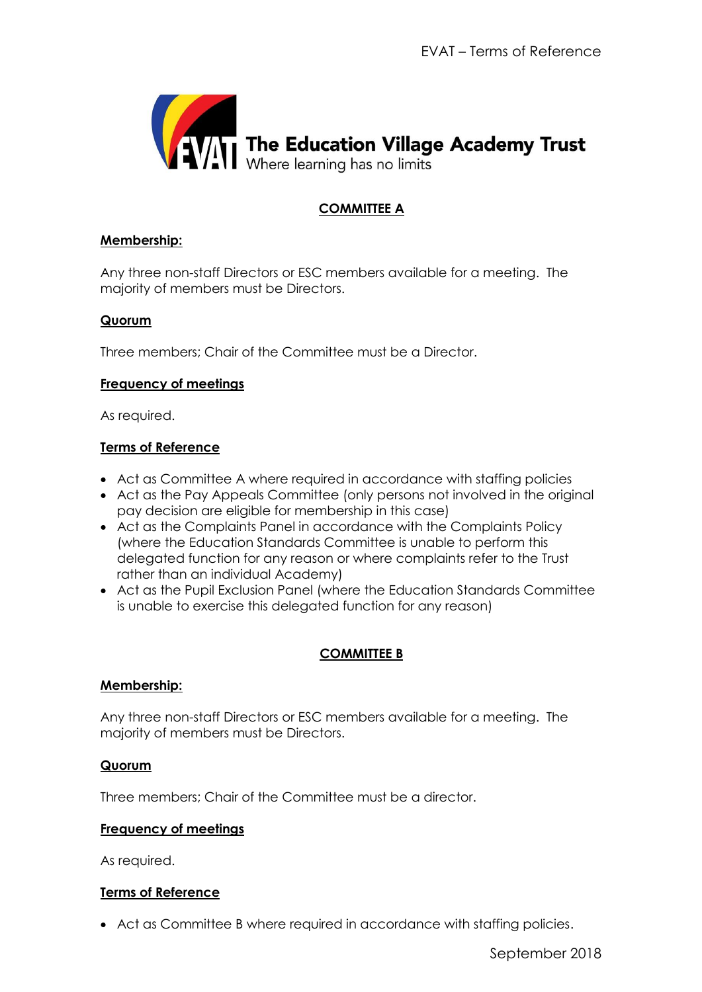

# **COMMITTEE A**

## **Membership:**

Any three non-staff Directors or ESC members available for a meeting. The majority of members must be Directors.

## **Quorum**

Three members; Chair of the Committee must be a Director.

## **Frequency of meetings**

As required.

## **Terms of Reference**

- Act as Committee A where required in accordance with staffing policies
- Act as the Pay Appeals Committee (only persons not involved in the original pay decision are eligible for membership in this case)
- Act as the Complaints Panel in accordance with the Complaints Policy (where the Education Standards Committee is unable to perform this delegated function for any reason or where complaints refer to the Trust rather than an individual Academy)
- Act as the Pupil Exclusion Panel (where the Education Standards Committee is unable to exercise this delegated function for any reason)

# **COMMITTEE B**

# **Membership:**

Any three non-staff Directors or ESC members available for a meeting. The majority of members must be Directors.

### **Quorum**

Three members; Chair of the Committee must be a director.

### **Frequency of meetings**

As required.

### **Terms of Reference**

Act as Committee B where required in accordance with staffing policies.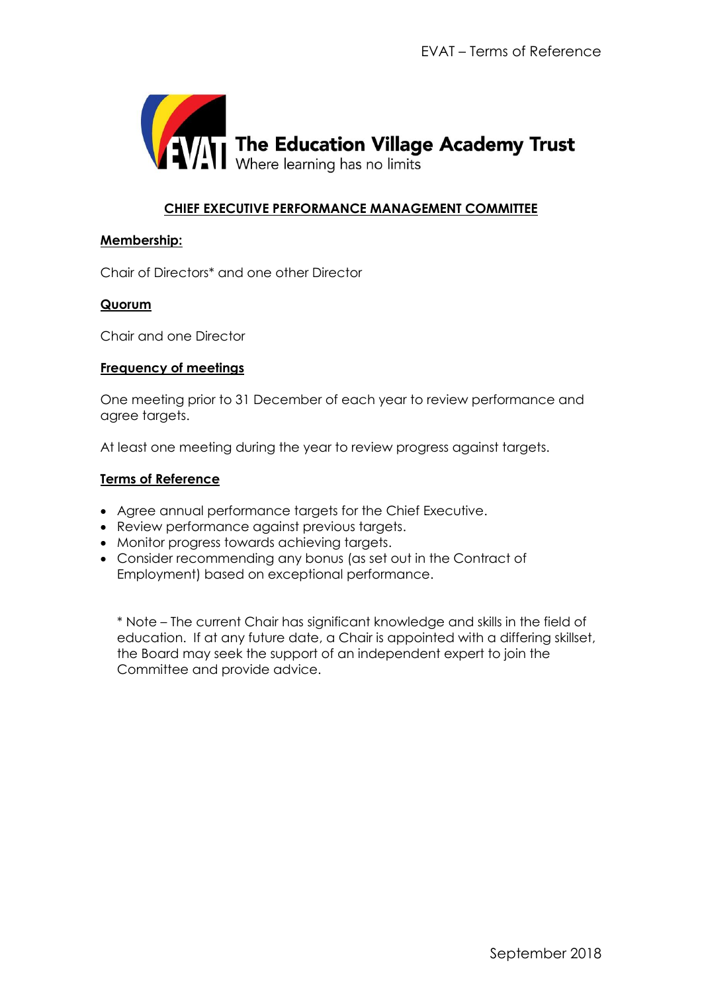

## **CHIEF EXECUTIVE PERFORMANCE MANAGEMENT COMMITTEE**

### **Membership:**

Chair of Directors\* and one other Director

### **Quorum**

Chair and one Director

### **Frequency of meetings**

One meeting prior to 31 December of each year to review performance and agree targets.

At least one meeting during the year to review progress against targets.

### **Terms of Reference**

- Agree annual performance targets for the Chief Executive.
- Review performance against previous targets.
- Monitor progress towards achieving targets.
- Consider recommending any bonus (as set out in the Contract of Employment) based on exceptional performance.

\* Note – The current Chair has significant knowledge and skills in the field of education. If at any future date, a Chair is appointed with a differing skillset, the Board may seek the support of an independent expert to join the Committee and provide advice.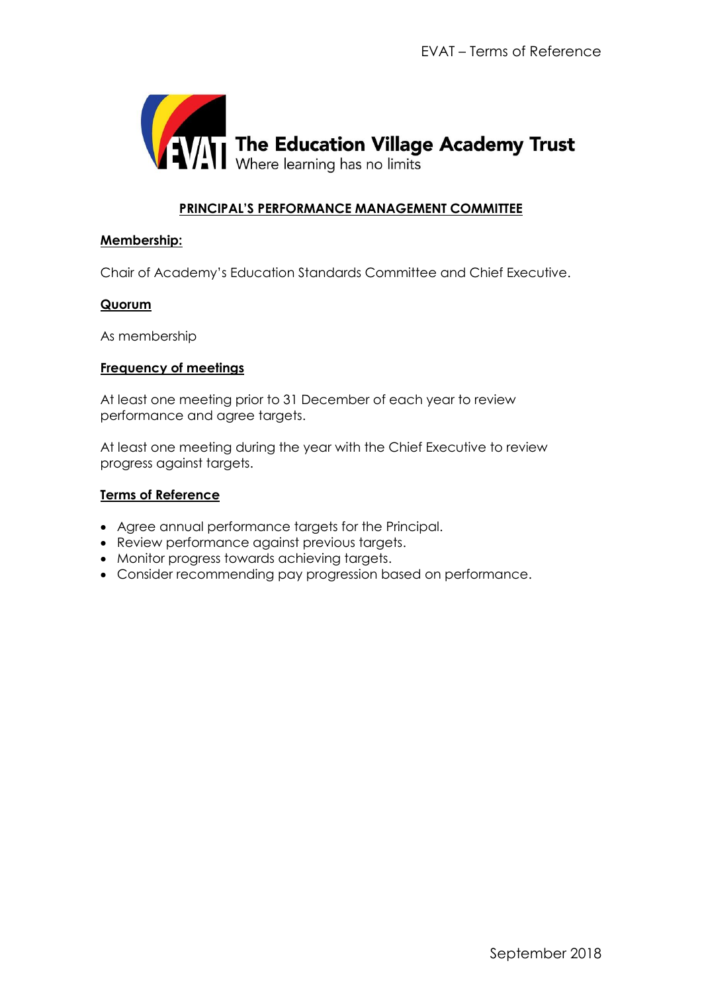

## **PRINCIPAL'S PERFORMANCE MANAGEMENT COMMITTEE**

### **Membership:**

Chair of Academy's Education Standards Committee and Chief Executive.

### **Quorum**

As membership

### **Frequency of meetings**

At least one meeting prior to 31 December of each year to review performance and agree targets.

At least one meeting during the year with the Chief Executive to review progress against targets.

### **Terms of Reference**

- Agree annual performance targets for the Principal.
- Review performance against previous targets.
- Monitor progress towards achieving targets.
- Consider recommending pay progression based on performance.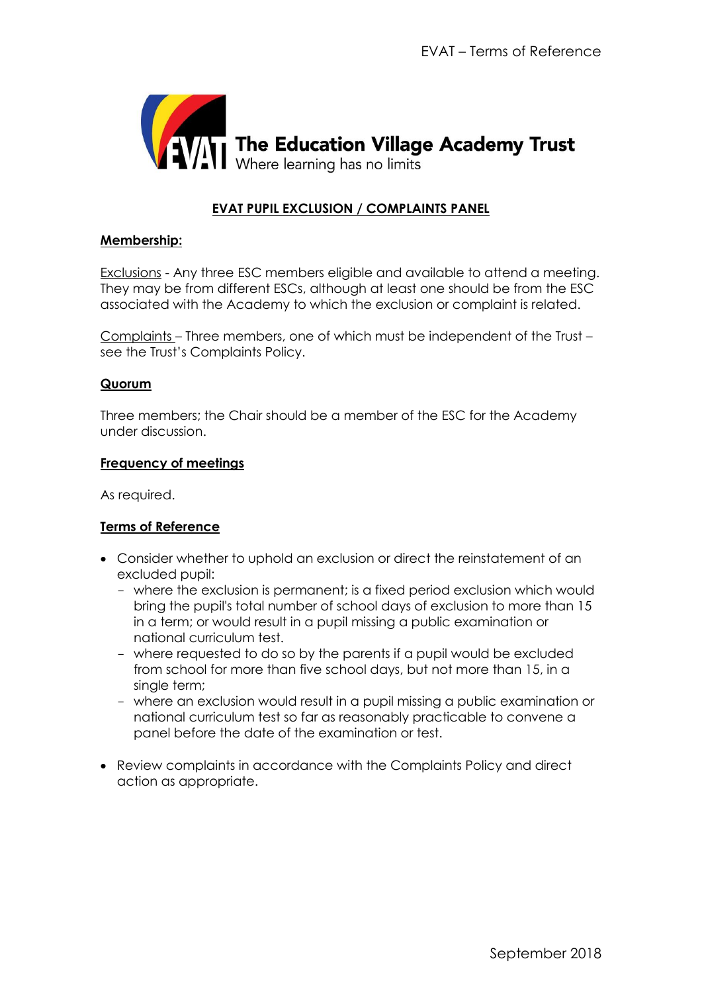

# **EVAT PUPIL EXCLUSION / COMPLAINTS PANEL**

### **Membership:**

Exclusions - Any three ESC members eligible and available to attend a meeting. They may be from different ESCs, although at least one should be from the ESC associated with the Academy to which the exclusion or complaint is related.

Complaints – Three members, one of which must be independent of the Trust – see the Trust's Complaints Policy.

### **Quorum**

Three members; the Chair should be a member of the ESC for the Academy under discussion.

### **Frequency of meetings**

As required.

# **Terms of Reference**

- Consider whether to uphold an exclusion or direct the reinstatement of an excluded pupil:
	- where the exclusion is permanent; is a fixed period exclusion which would bring the pupil's total number of school days of exclusion to more than 15 in a term; or would result in a pupil missing a public examination or national curriculum test.
	- where requested to do so by the parents if a pupil would be excluded from school for more than five school days, but not more than 15, in a single term;
	- where an exclusion would result in a pupil missing a public examination or national curriculum test so far as reasonably practicable to convene a panel before the date of the examination or test.
- Review complaints in accordance with the Complaints Policy and direct action as appropriate.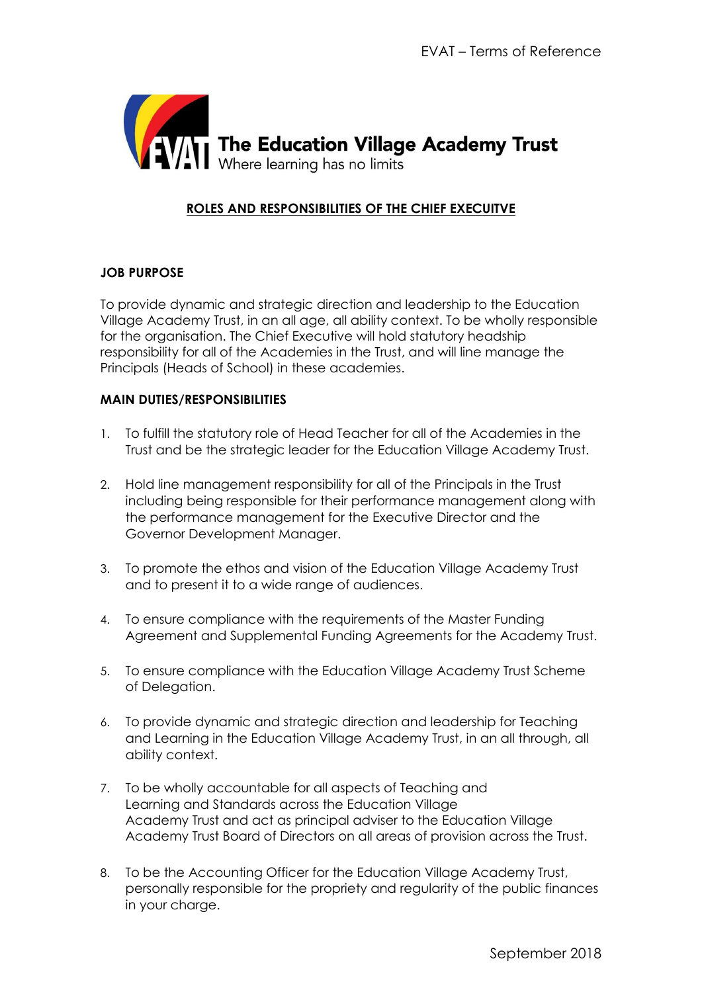

# **ROLES AND RESPONSIBILITIES OF THE CHIEF EXECUITVE**

## **JOB PURPOSE**

To provide dynamic and strategic direction and leadership to the Education Village Academy Trust, in an all age, all ability context. To be wholly responsible for the organisation. The Chief Executive will hold statutory headship responsibility for all of the Academies in the Trust, and will line manage the Principals (Heads of School) in these academies.

### **MAIN DUTIES/RESPONSIBILITIES**

- 1. To fulfill the statutory role of Head Teacher for all of the Academies in the Trust and be the strategic leader for the Education Village Academy Trust.
- 2. Hold line management responsibility for all of the Principals in the Trust including being responsible for their performance management along with the performance management for the Executive Director and the Governor Development Manager.
- 3. To promote the ethos and vision of the Education Village Academy Trust and to present it to a wide range of audiences.
- 4. To ensure compliance with the requirements of the Master Funding Agreement and Supplemental Funding Agreements for the Academy Trust.
- 5. To ensure compliance with the Education Village Academy Trust Scheme of Delegation.
- 6. To provide dynamic and strategic direction and leadership for Teaching and Learning in the Education Village Academy Trust, in an all through, all ability context.
- 7. To be wholly accountable for all aspects of Teaching and Learning and Standards across the Education Village Academy Trust and act as principal adviser to the Education Village Academy Trust Board of Directors on all areas of provision across the Trust.
- 8. To be the Accounting Officer for the Education Village Academy Trust, personally responsible for the propriety and regularity of the public finances in your charge.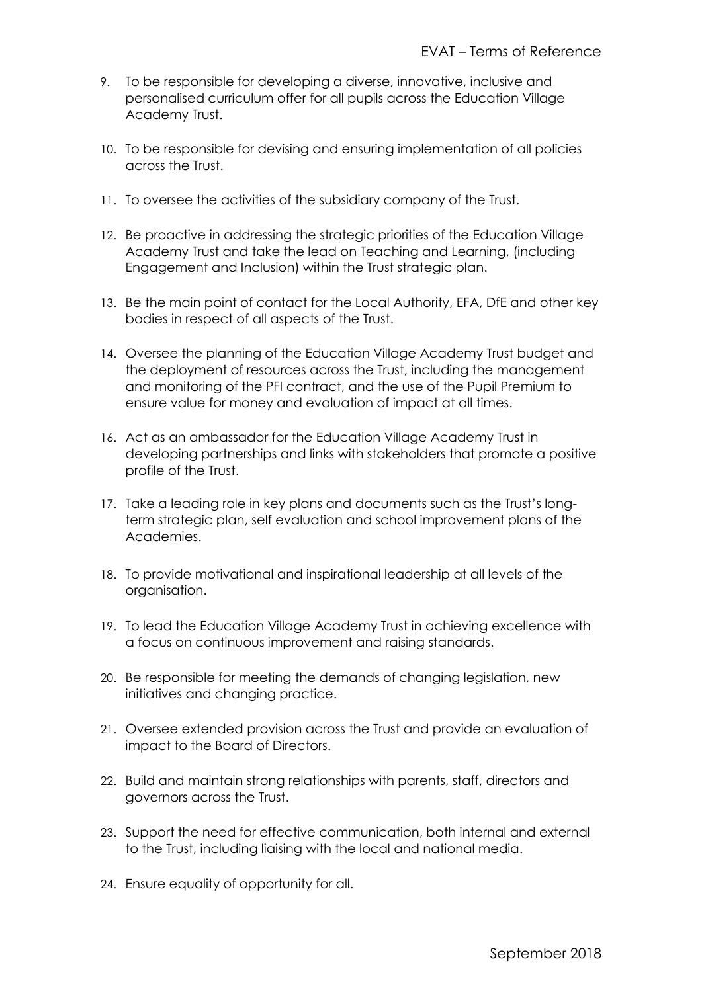- 9. To be responsible for developing a diverse, innovative, inclusive and personalised curriculum offer for all pupils across the Education Village Academy Trust.
- 10. To be responsible for devising and ensuring implementation of all policies across the Trust.
- 11. To oversee the activities of the subsidiary company of the Trust.
- 12. Be proactive in addressing the strategic priorities of the Education Village Academy Trust and take the lead on Teaching and Learning, (including Engagement and Inclusion) within the Trust strategic plan.
- 13. Be the main point of contact for the Local Authority, EFA, DfE and other key bodies in respect of all aspects of the Trust.
- 14. Oversee the planning of the Education Village Academy Trust budget and the deployment of resources across the Trust, including the management and monitoring of the PFI contract, and the use of the Pupil Premium to ensure value for money and evaluation of impact at all times.
- 16. Act as an ambassador for the Education Village Academy Trust in developing partnerships and links with stakeholders that promote a positive profile of the Trust.
- 17. Take a leading role in key plans and documents such as the Trust's longterm strategic plan, self evaluation and school improvement plans of the Academies.
- 18. To provide motivational and inspirational leadership at all levels of the organisation.
- 19. To lead the Education Village Academy Trust in achieving excellence with a focus on continuous improvement and raising standards.
- 20. Be responsible for meeting the demands of changing legislation, new initiatives and changing practice.
- 21. Oversee extended provision across the Trust and provide an evaluation of impact to the Board of Directors.
- 22. Build and maintain strong relationships with parents, staff, directors and governors across the Trust.
- 23. Support the need for effective communication, both internal and external to the Trust, including liaising with the local and national media.
- 24. Ensure equality of opportunity for all.